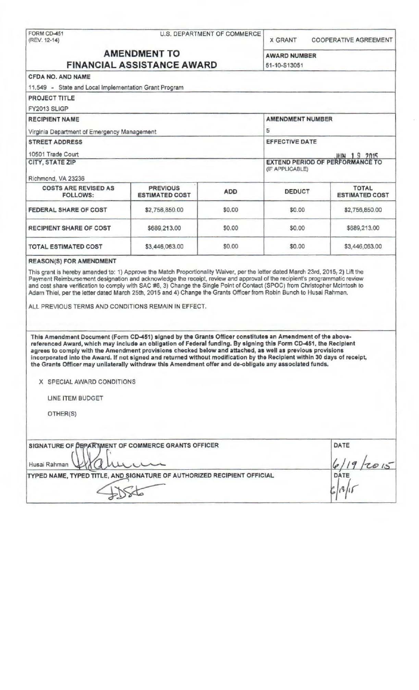| FORM CD-451<br>(REV. 12-14)                                                                                                                                                                                                                                                                                                                                                                                                                                            | U.S. DEPARTMENT OF COMMERCE              |            | <b>X GRANT</b><br><b>COOPERATIVE AGREEMENT</b> |                                                              |  |
|------------------------------------------------------------------------------------------------------------------------------------------------------------------------------------------------------------------------------------------------------------------------------------------------------------------------------------------------------------------------------------------------------------------------------------------------------------------------|------------------------------------------|------------|------------------------------------------------|--------------------------------------------------------------|--|
| <b>AMENDMENT TO</b><br><b>FINANCIAL ASSISTANCE AWARD</b>                                                                                                                                                                                                                                                                                                                                                                                                               |                                          |            | <b>AWARD NUMBER</b><br>51-10-S13051            |                                                              |  |
|                                                                                                                                                                                                                                                                                                                                                                                                                                                                        |                                          |            |                                                |                                                              |  |
| 11.549 - State and Local Implementation Grant Program                                                                                                                                                                                                                                                                                                                                                                                                                  |                                          |            |                                                |                                                              |  |
| <b>PROJECT TITLE</b>                                                                                                                                                                                                                                                                                                                                                                                                                                                   |                                          |            |                                                |                                                              |  |
| FY2013 SLIGP                                                                                                                                                                                                                                                                                                                                                                                                                                                           |                                          |            |                                                |                                                              |  |
| <b>RECIPIENT NAME</b>                                                                                                                                                                                                                                                                                                                                                                                                                                                  |                                          |            | <b>AMENDMENT NUMBER</b>                        |                                                              |  |
| Virginia Department of Emergency Management                                                                                                                                                                                                                                                                                                                                                                                                                            |                                          |            | 5                                              |                                                              |  |
| <b>STREET ADDRESS</b>                                                                                                                                                                                                                                                                                                                                                                                                                                                  |                                          |            | <b>EFFECTIVE DATE</b>                          |                                                              |  |
| 10501 Trade Court                                                                                                                                                                                                                                                                                                                                                                                                                                                      |                                          |            |                                                |                                                              |  |
| <b>CITY, STATE ZIP</b>                                                                                                                                                                                                                                                                                                                                                                                                                                                 |                                          |            |                                                | <b>JUN 19 2015</b><br><b>EXTEND PERIOD OF PERFORMANCE TO</b> |  |
|                                                                                                                                                                                                                                                                                                                                                                                                                                                                        |                                          |            | (IF APPLICABLE)                                |                                                              |  |
| Richmond, VA 23236                                                                                                                                                                                                                                                                                                                                                                                                                                                     |                                          |            |                                                |                                                              |  |
| <b>COSTS ARE REVISED AS</b><br><b>FOLLOWS:</b>                                                                                                                                                                                                                                                                                                                                                                                                                         | <b>PREVIOUS</b><br><b>ESTIMATED COST</b> | <b>ADD</b> | <b>DEDUCT</b>                                  | <b>TOTAL</b><br><b>ESTIMATED COST</b>                        |  |
| FEDERAL SHARE OF COST                                                                                                                                                                                                                                                                                                                                                                                                                                                  | \$2,756,850.00                           | \$0.00     | \$0.00                                         | \$2,756,850.00                                               |  |
| RECIPIENT SHARE OF COST                                                                                                                                                                                                                                                                                                                                                                                                                                                | \$689,213.00                             | \$0.00     | \$0.00                                         | \$689,213.00                                                 |  |
| <b>TOTAL ESTIMATED COST</b>                                                                                                                                                                                                                                                                                                                                                                                                                                            | \$3,446,063.00                           | \$0.00     | \$0.00                                         | \$3,446,063.00                                               |  |
| Adam Thiel, per the letter dated March 25th, 2015 and 4) Change the Grants Officer from Robin Bunch to Husai Rahman.<br>ALL PREVIOUS TERMS AND CONDITIONS REMAIN IN EFFECT.                                                                                                                                                                                                                                                                                            |                                          |            |                                                |                                                              |  |
| This Amendment Document (Form CD-451) signed by the Grants Officer constitutes an Amendment of the above-<br>referenced Award, which may include an obligation of Federal funding. By signing this Form CD-451, the Recipient<br>agrees to comply with the Amendment provisions checked below and attached, as well as previous provisions<br>incorporated into the Award. If not signed and returned without modification by the Recipient within 30 days of receipt, |                                          |            |                                                |                                                              |  |
| the Grants Officer may unilaterally withdraw this Amendment offer and de-obligate any associated funds.                                                                                                                                                                                                                                                                                                                                                                |                                          |            |                                                |                                                              |  |
| X SPECIAL AWARD CONDITIONS                                                                                                                                                                                                                                                                                                                                                                                                                                             |                                          |            |                                                |                                                              |  |
| LINE ITEM BUDGET                                                                                                                                                                                                                                                                                                                                                                                                                                                       |                                          |            |                                                |                                                              |  |
| OTHER(S)                                                                                                                                                                                                                                                                                                                                                                                                                                                               |                                          |            |                                                |                                                              |  |
| SIGNATURE OF DEPARTMENT OF COMMERCE GRANTS OFFICER                                                                                                                                                                                                                                                                                                                                                                                                                     |                                          |            |                                                | DATE                                                         |  |
| Husai Rahman                                                                                                                                                                                                                                                                                                                                                                                                                                                           |                                          |            |                                                |                                                              |  |
| TYPED NAME, TYPED TITLE, AND SIGNATURE OF AUTHORIZED RECIPIENT OFFICIAL                                                                                                                                                                                                                                                                                                                                                                                                |                                          |            |                                                | DATE                                                         |  |
|                                                                                                                                                                                                                                                                                                                                                                                                                                                                        |                                          |            |                                                |                                                              |  |